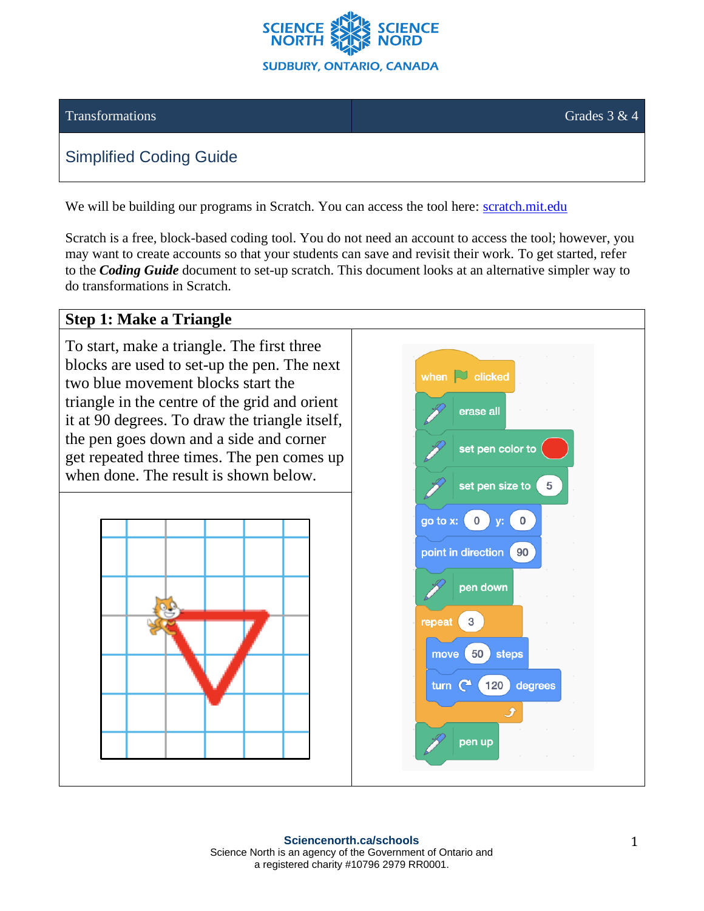

#### Transformations Grades 3 & 4

# Simplified Coding Guide

We will be building our programs in Scratch. You can access the tool here: [scratch.mit.edu](https://scratch.mit.edu/)

Scratch is a free, block-based coding tool. You do not need an account to access the tool; however, you may want to create accounts so that your students can save and revisit their work. To get started, refer to the *Coding Guide* document to set-up scratch. This document looks at an alternative simpler way to do transformations in Scratch.

# **Step 1: Make a Triangle**

To start, make a triangle. The first three blocks are used to set-up the pen. The next two blue movement blocks start the triangle in the centre of the grid and orient it at 90 degrees. To draw the triangle itself, the pen goes down and a side and corner get repeated three times. The pen comes up when done. The result is shown below.



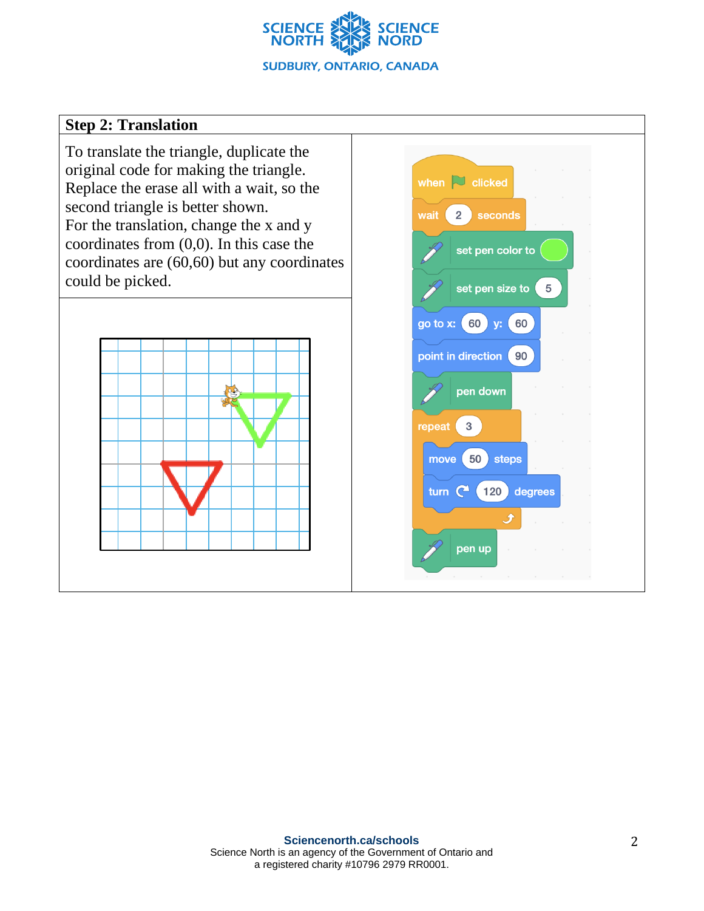

### **Step 2: Translation**

To translate the triangle, duplicate the original code for making the triangle. Replace the erase all with a wait, so the second triangle is better shown. For the translation, change the x and y coordinates from (0,0). In this case the coordinates are (60,60) but any coordinates could be picked.



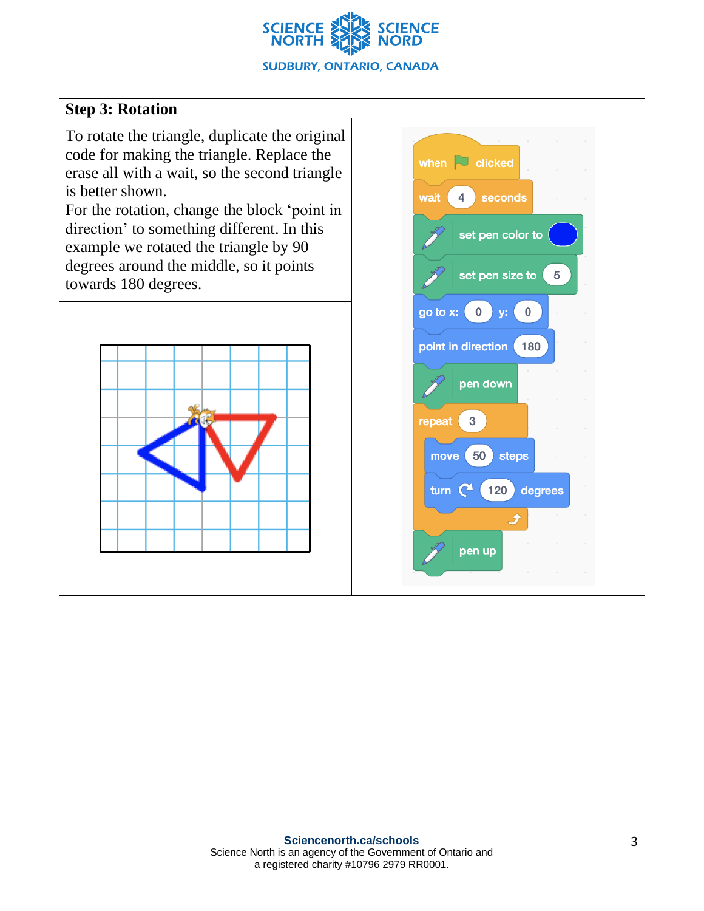

# **Step 3: Rotation**

To rotate the triangle, duplicate the original code for making the triangle. Replace the erase all with a wait, so the second triangle is better shown.

For the rotation, change the block 'point in direction' to something different. In this example we rotated the triangle by 90 degrees around the middle, so it points towards 180 degrees.



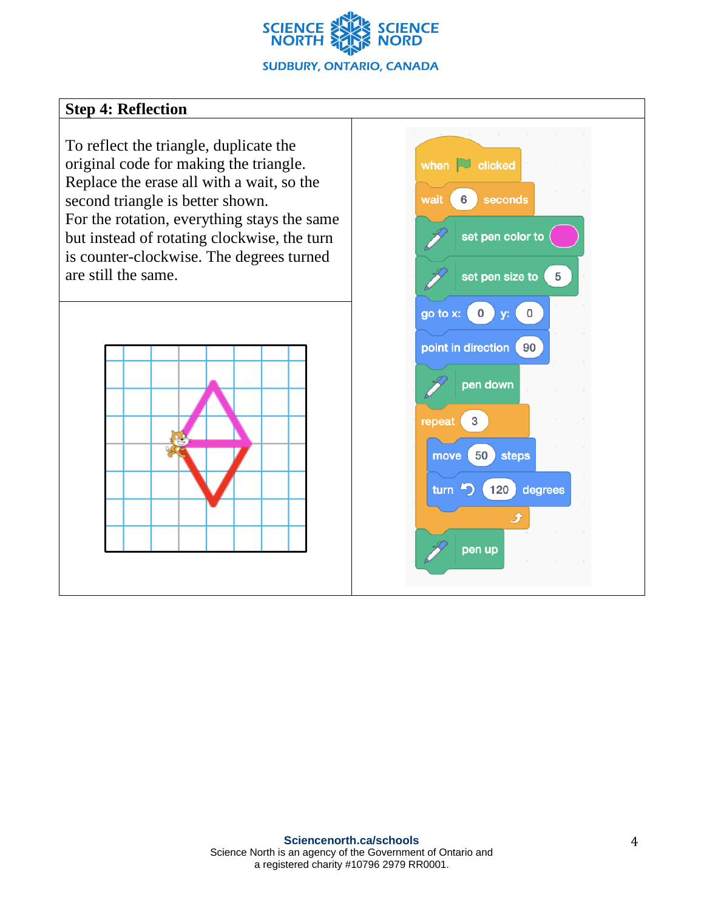

### **Step 4: Reflection**

To reflect the triangle, duplicate the original code for making the triangle. Replace the erase all with a wait, so the second triangle is better shown. For the rotation, everything stays the same but instead of rotating clockwise, the turn is counter-clockwise. The degrees turned are still the same.